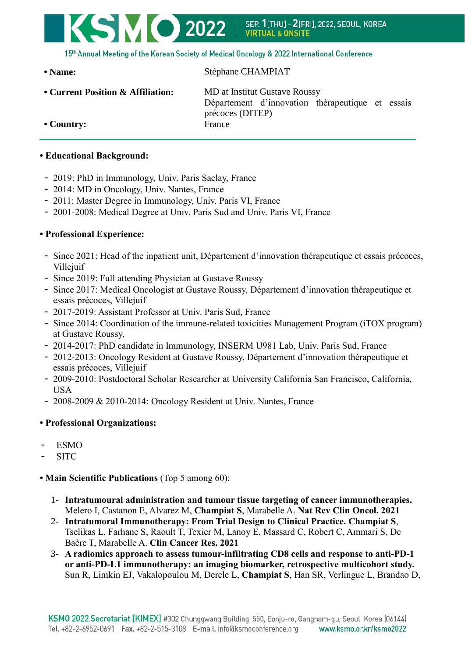

15th Annual Meeting of the Korean Society of Medical Oncology & 2022 International Conference

**• Name:** Stéphane CHAMPIAT

**• Current Position & Affiliation:** MD at Institut Gustave Roussy

Département d'innovation thérapeutique et essais précoces (DITEP)

**• Country:** France

## **• Educational Background:**

- 2019: PhD in Immunology, Univ. Paris Saclay, France
- 2014: MD in Oncology, Univ. Nantes, France
- 2011: Master Degree in Immunology, Univ. Paris VI, France
- 2001-2008: Medical Degree at Univ. Paris Sud and Univ. Paris VI, France

## **• Professional Experience:**

- Since 2021: Head of the inpatient unit, Département d'innovation thérapeutique et essais précoces, Villejuif
- Since 2019: Full attending Physician at Gustave Roussy
- Since 2017: Medical Oncologist at Gustave Roussy, Département d'innovation thérapeutique et essais précoces, Villejuif
- 2017-2019: Assistant Professor at Univ. Paris Sud, France
- Since 2014: Coordination of the immune-related toxicities Management Program (iTOX program) at Gustave Roussy,
- 2014-2017: PhD candidate in Immunology, INSERM U981 Lab, Univ. Paris Sud, France
- 2012-2013: Oncology Resident at Gustave Roussy, Département d'innovation thérapeutique et essais précoces, Villejuif
- 2009-2010: Postdoctoral Scholar Researcher at University California San Francisco, California, USA
- 2008-2009 & 2010-2014: Oncology Resident at Univ. Nantes, France

## **• Professional Organizations:**

- ESMO
- SITC

## **• Main Scientific Publications** (Top 5 among 60):

- 1- **Intratumoural administration and tumour tissue targeting of cancer immunotherapies.** Melero I, Castanon E, Alvarez M, **Champiat S**, Marabelle A. **Nat Rev Clin Oncol. 2021**
- 2- **Intratumoral Immunotherapy: From Trial Design to Clinical Practice. Champiat S**, Tselikas L, Farhane S, Raoult T, Texier M, Lanoy E, Massard C, Robert C, Ammari S, De Baère T, Marabelle A. **Clin Cancer Res. 2021**
- 3- **A radiomics approach to assess tumour-infiltrating CD8 cells and response to anti-PD-1 or anti-PD-L1 immunotherapy: an imaging biomarker, retrospective multicohort study.** Sun R, Limkin EJ, Vakalopoulou M, Dercle L, **Champiat S**, Han SR, Verlingue L, Brandao D,